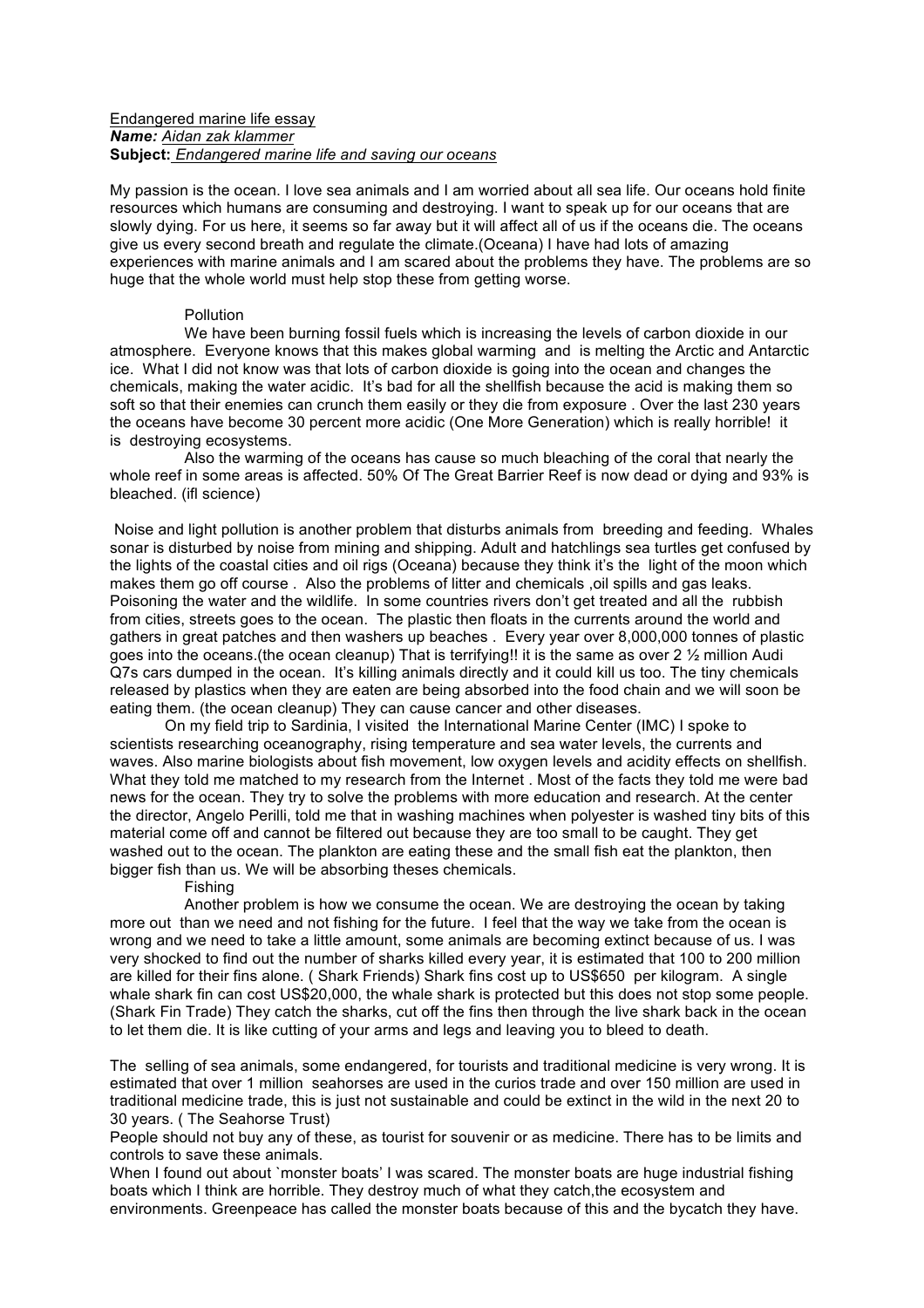### Endangered marine life essay *Name: Aidan zak klammer* **Subject:** *Endangered marine life and saving our oceans*

My passion is the ocean. I love sea animals and I am worried about all sea life. Our oceans hold finite resources which humans are consuming and destroying. I want to speak up for our oceans that are slowly dying. For us here, it seems so far away but it will affect all of us if the oceans die. The oceans give us every second breath and regulate the climate.(Oceana) I have had lots of amazing experiences with marine animals and I am scared about the problems they have. The problems are so huge that the whole world must help stop these from getting worse.

#### **Pollution**

We have been burning fossil fuels which is increasing the levels of carbon dioxide in our atmosphere. Everyone knows that this makes global warming and is melting the Arctic and Antarctic ice. What I did not know was that lots of carbon dioxide is going into the ocean and changes the chemicals, making the water acidic. It's bad for all the shellfish because the acid is making them so soft so that their enemies can crunch them easily or they die from exposure . Over the last 230 years the oceans have become 30 percent more acidic (One More Generation) which is really horrible! it is destroying ecosystems.

Also the warming of the oceans has cause so much bleaching of the coral that nearly the whole reef in some areas is affected. 50% Of The Great Barrier Reef is now dead or dying and 93% is bleached. (ifl science)

Noise and light pollution is another problem that disturbs animals from breeding and feeding. Whales sonar is disturbed by noise from mining and shipping. Adult and hatchlings sea turtles get confused by the lights of the coastal cities and oil rigs (Oceana) because they think it's the light of the moon which makes them go off course. Also the problems of litter and chemicals , oil spills and gas leaks. Poisoning the water and the wildlife. In some countries rivers don't get treated and all the rubbish from cities, streets goes to the ocean. The plastic then floats in the currents around the world and gathers in great patches and then washers up beaches . Every year over 8,000,000 tonnes of plastic goes into the oceans.(the ocean cleanup) That is terrifying!! it is the same as over 2 ½ million Audi Q7s cars dumped in the ocean. It's killing animals directly and it could kill us too. The tiny chemicals released by plastics when they are eaten are being absorbed into the food chain and we will soon be eating them. (the ocean cleanup) They can cause cancer and other diseases.

On my field trip to Sardinia, I visited the International Marine Center (IMC) I spoke to scientists researching oceanography, rising temperature and sea water levels, the currents and waves. Also marine biologists about fish movement, low oxygen levels and acidity effects on shellfish. What they told me matched to my research from the Internet . Most of the facts they told me were bad news for the ocean. They try to solve the problems with more education and research. At the center the director, Angelo Perilli, told me that in washing machines when polyester is washed tiny bits of this material come off and cannot be filtered out because they are too small to be caught. They get washed out to the ocean. The plankton are eating these and the small fish eat the plankton, then bigger fish than us. We will be absorbing theses chemicals.

#### Fishing

Another problem is how we consume the ocean. We are destroying the ocean by taking more out than we need and not fishing for the future. I feel that the way we take from the ocean is wrong and we need to take a little amount, some animals are becoming extinct because of us. I was very shocked to find out the number of sharks killed every year, it is estimated that 100 to 200 million are killed for their fins alone. ( Shark Friends) Shark fins cost up to US\$650 per kilogram. A single whale shark fin can cost US\$20,000, the whale shark is protected but this does not stop some people. (Shark Fin Trade) They catch the sharks, cut off the fins then through the live shark back in the ocean to let them die. It is like cutting of your arms and legs and leaving you to bleed to death.

The selling of sea animals, some endangered, for tourists and traditional medicine is very wrong. It is estimated that over 1 million seahorses are used in the curios trade and over 150 million are used in traditional medicine trade, this is just not sustainable and could be extinct in the wild in the next 20 to 30 years. ( The Seahorse Trust)

People should not buy any of these, as tourist for souvenir or as medicine. There has to be limits and controls to save these animals.

When I found out about `monster boats' I was scared. The monster boats are huge industrial fishing boats which I think are horrible. They destroy much of what they catch,the ecosystem and environments. Greenpeace has called the monster boats because of this and the bycatch they have.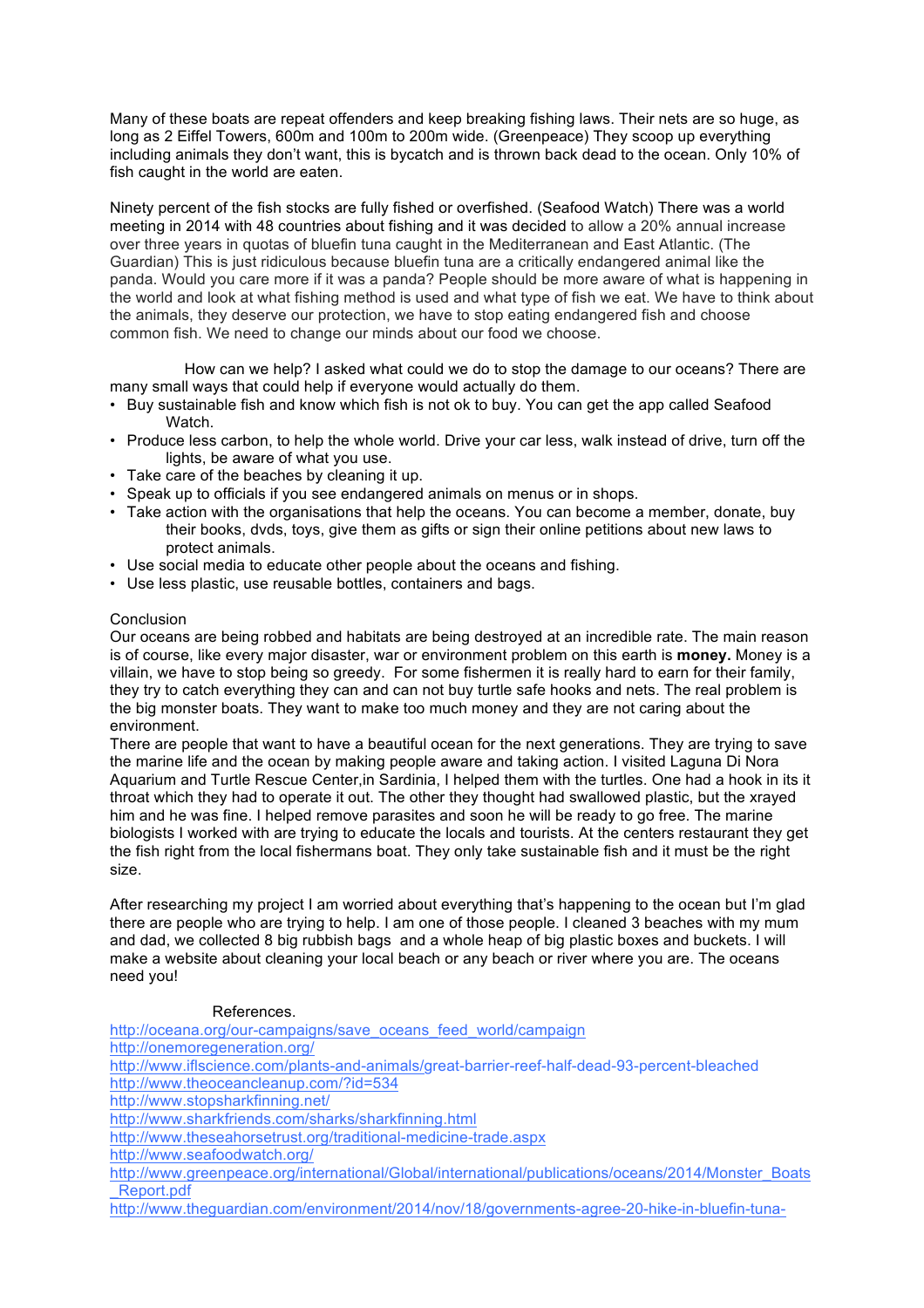Many of these boats are repeat offenders and keep breaking fishing laws. Their nets are so huge, as long as 2 Eiffel Towers, 600m and 100m to 200m wide. (Greenpeace) They scoop up everything including animals they don't want, this is bycatch and is thrown back dead to the ocean. Only 10% of fish caught in the world are eaten.

Ninety percent of the fish stocks are fully fished or overfished. (Seafood Watch) There was a world meeting in 2014 with 48 countries about fishing and it was decided to allow a 20% annual increase over three years in quotas of bluefin tuna caught in the Mediterranean and East Atlantic. (The Guardian) This is just ridiculous because bluefin tuna are a critically endangered animal like the panda. Would you care more if it was a panda? People should be more aware of what is happening in the world and look at what fishing method is used and what type of fish we eat. We have to think about the animals, they deserve our protection, we have to stop eating endangered fish and choose common fish. We need to change our minds about our food we choose.

How can we help? I asked what could we do to stop the damage to our oceans? There are many small ways that could help if everyone would actually do them.

- Buy sustainable fish and know which fish is not ok to buy. You can get the app called Seafood Watch.
- Produce less carbon, to help the whole world. Drive your car less, walk instead of drive, turn off the lights, be aware of what you use.
- Take care of the beaches by cleaning it up.
- Speak up to officials if you see endangered animals on menus or in shops.
- Take action with the organisations that help the oceans. You can become a member, donate, buy their books, dvds, toys, give them as gifts or sign their online petitions about new laws to protect animals.
- Use social media to educate other people about the oceans and fishing.
- Use less plastic, use reusable bottles, containers and bags.

## **Conclusion**

Our oceans are being robbed and habitats are being destroyed at an incredible rate. The main reason is of course, like every major disaster, war or environment problem on this earth is **money.** Money is a villain, we have to stop being so greedy. For some fishermen it is really hard to earn for their family, they try to catch everything they can and can not buy turtle safe hooks and nets. The real problem is the big monster boats. They want to make too much money and they are not caring about the environment.

There are people that want to have a beautiful ocean for the next generations. They are trying to save the marine life and the ocean by making people aware and taking action. I visited Laguna Di Nora Aquarium and Turtle Rescue Center,in Sardinia, I helped them with the turtles. One had a hook in its it throat which they had to operate it out. The other they thought had swallowed plastic, but the xrayed him and he was fine. I helped remove parasites and soon he will be ready to go free. The marine biologists I worked with are trying to educate the locals and tourists. At the centers restaurant they get the fish right from the local fishermans boat. They only take sustainable fish and it must be the right size.

After researching my project I am worried about everything that's happening to the ocean but I'm glad there are people who are trying to help. I am one of those people. I cleaned 3 beaches with my mum and dad, we collected 8 big rubbish bags and a whole heap of big plastic boxes and buckets. I will make a website about cleaning your local beach or any beach or river where you are. The oceans need you!

## References.

http://oceana.org/our-campaigns/save\_oceans\_feed\_world/campaign http://onemoregeneration.org/ http://www.iflscience.com/plants-and-animals/great-barrier-reef-half-dead-93-percent-bleached http://www.theoceancleanup.com/?id=534 http://www.stopsharkfinning.net/ http://www.sharkfriends.com/sharks/sharkfinning.html http://www.theseahorsetrust.org/traditional-medicine-trade.aspx http://www.seafoodwatch.org/ http://www.greenpeace.org/international/Global/international/publications/oceans/2014/Monster\_Boats \_Report.pdf http://www.theguardian.com/environment/2014/nov/18/governments-agree-20-hike-in-bluefin-tuna